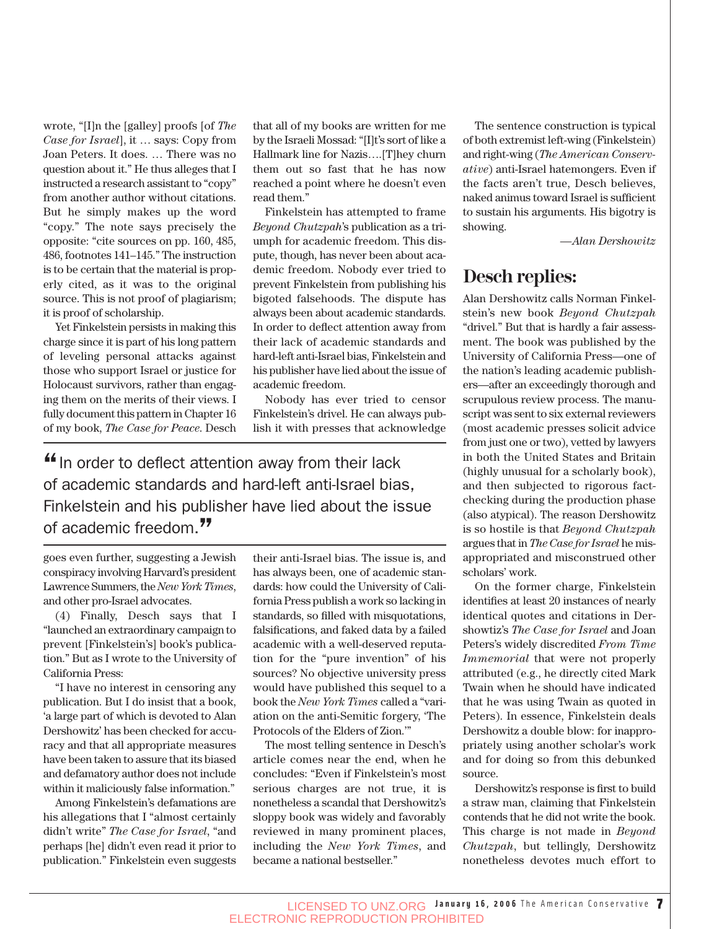wrote, "[I]n the [galley] proofs [of *The Case for Israel*], it … says: Copy from Joan Peters. It does. … There was no question about it." He thus alleges that I instructed a research assistant to "copy" from another author without citations. But he simply makes up the word "copy." The note says precisely the opposite: "cite sources on pp. 160, 485, 486, footnotes 141–145." The instruction is to be certain that the material is properly cited, as it was to the original source. This is not proof of plagiarism; it is proof of scholarship.

Yet Finkelstein persists in making this charge since it is part of his long pattern of leveling personal attacks against those who support Israel or justice for Holocaust survivors, rather than engaging them on the merits of their views. I fully document this pattern in Chapter 16 of my book, *The Case for Peace*. Desch that all of my books are written for me by the Israeli Mossad: "[I]t's sort of like a Hallmark line for Nazis….[T]hey churn them out so fast that he has now reached a point where he doesn't even read them."

Finkelstein has attempted to frame *Beyond Chutzpah*'s publication as a triumph for academic freedom. This dispute, though, has never been about academic freedom. Nobody ever tried to prevent Finkelstein from publishing his bigoted falsehoods. The dispute has always been about academic standards. In order to deflect attention away from their lack of academic standards and hard-left anti-Israel bias, Finkelstein and his publisher have lied about the issue of academic freedom.

Nobody has ever tried to censor Finkelstein's drivel. He can always publish it with presses that acknowledge

"In order to deflect attention away from their lack of academic standards and hard-left anti-Israel bias, Finkelstein and his publisher have lied about the issue of academic freedom."

goes even further, suggesting a Jewish conspiracy involving Harvard's president Lawrence Summers, the *New York Times*, and other pro-Israel advocates.

(4) Finally, Desch says that I "launched an extraordinary campaign to prevent [Finkelstein's] book's publication." But as I wrote to the University of California Press:

"I have no interest in censoring any publication. But I do insist that a book, 'a large part of which is devoted to Alan Dershowitz' has been checked for accuracy and that all appropriate measures have been taken to assure that its biased and defamatory author does not include within it maliciously false information."

Among Finkelstein's defamations are his allegations that I "almost certainly didn't write" *The Case for Israel*, "and perhaps [he] didn't even read it prior to publication." Finkelstein even suggests their anti-Israel bias. The issue is, and has always been, one of academic standards: how could the University of California Press publish a work so lacking in standards, so filled with misquotations, falsifications, and faked data by a failed academic with a well-deserved reputation for the "pure invention" of his sources? No objective university press would have published this sequel to a book the *New York Times* called a "variation on the anti-Semitic forgery, 'The Protocols of the Elders of Zion.'"

The most telling sentence in Desch's article comes near the end, when he concludes: "Even if Finkelstein's most serious charges are not true, it is nonetheless a scandal that Dershowitz's sloppy book was widely and favorably reviewed in many prominent places, including the *New York Times*, and became a national bestseller."

The sentence construction is typical of both extremist left-wing (Finkelstein) and right-wing (*The American Conservative*) anti-Israel hatemongers. Even if the facts aren't true, Desch believes, naked animus toward Israel is sufficient to sustain his arguments. His bigotry is showing.

*—Alan Dershowitz*

## **Desch replies:**

Alan Dershowitz calls Norman Finkelstein's new book *Beyond Chutzpah* "drivel." But that is hardly a fair assessment. The book was published by the University of California Press—one of the nation's leading academic publishers—after an exceedingly thorough and scrupulous review process. The manuscript was sent to six external reviewers (most academic presses solicit advice from just one or two), vetted by lawyers in both the United States and Britain (highly unusual for a scholarly book), and then subjected to rigorous factchecking during the production phase (also atypical). The reason Dershowitz is so hostile is that *Beyond Chutzpah* argues that in *The Case for Israel* he misappropriated and misconstrued other scholars' work.

On the former charge, Finkelstein identifies at least 20 instances of nearly identical quotes and citations in Dershowtiz's *The Case for Israel* and Joan Peters's widely discredited *From Time Immemorial* that were not properly attributed (e.g., he directly cited Mark Twain when he should have indicated that he was using Twain as quoted in Peters). In essence, Finkelstein deals Dershowitz a double blow: for inappropriately using another scholar's work and for doing so from this debunked source.

Dershowitz's response is first to build a straw man, claiming that Finkelstein contends that he did not write the book. This charge is not made in *Beyond Chutzpah*, but tellingly, Dershowitz nonetheless devotes much effort to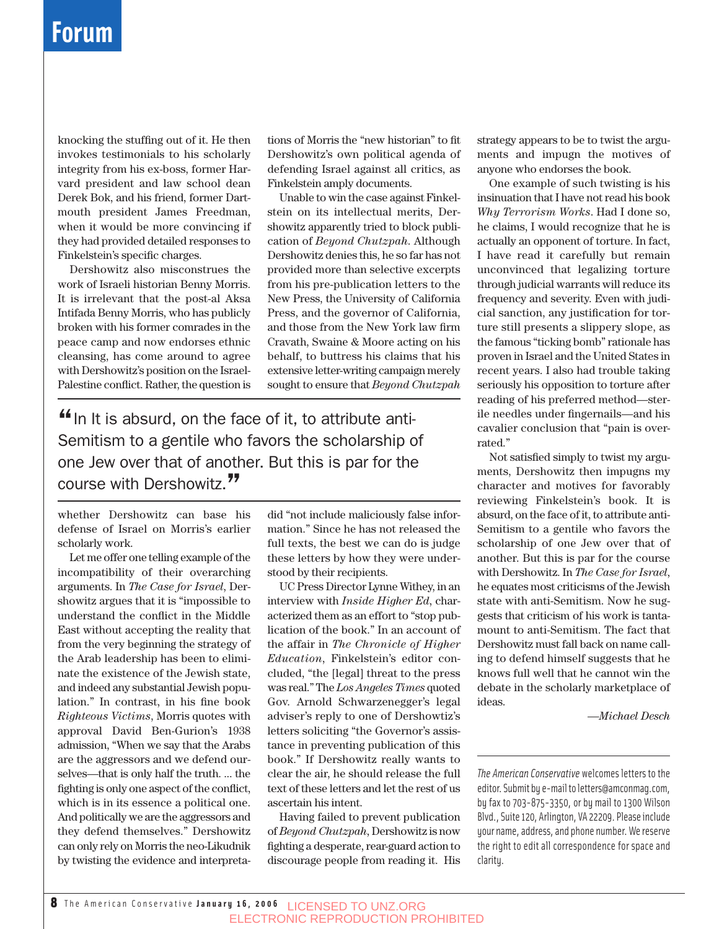## **Forum**

knocking the stuffing out of it. He then invokes testimonials to his scholarly integrity from his ex-boss, former Harvard president and law school dean Derek Bok, and his friend, former Dartmouth president James Freedman, when it would be more convincing if they had provided detailed responses to Finkelstein's specific charges.

Dershowitz also misconstrues the work of Israeli historian Benny Morris. It is irrelevant that the post-al Aksa Intifada Benny Morris, who has publicly broken with his former comrades in the peace camp and now endorses ethnic cleansing, has come around to agree with Dershowitz's position on the Israel-Palestine conflict. Rather, the question is

tions of Morris the "new historian" to fit Dershowitz's own political agenda of defending Israel against all critics, as Finkelstein amply documents.

Unable to win the case against Finkelstein on its intellectual merits, Dershowitz apparently tried to block publication of *Beyond Chutzpah*. Although Dershowitz denies this, he so far has not provided more than selective excerpts from his pre-publication letters to the New Press, the University of California Press, and the governor of California, and those from the New York law firm Cravath, Swaine & Moore acting on his behalf, to buttress his claims that his extensive letter-writing campaign merely sought to ensure that *Beyond Chutzpah*

 $\mathbf{f}$  In It is absurd, on the face of it, to attribute anti-Semitism to a gentile who favors the scholarship of one Jew over that of another. But this is par for the course with Dershowitz.<sup>77</sup>

whether Dershowitz can base his defense of Israel on Morris's earlier scholarly work.

Let me offer one telling example of the incompatibility of their overarching arguments. In *The Case for Israel*, Dershowitz argues that it is "impossible to understand the conflict in the Middle East without accepting the reality that from the very beginning the strategy of the Arab leadership has been to eliminate the existence of the Jewish state, and indeed any substantial Jewish population." In contrast, in his fine book *Righteous Victims*, Morris quotes with approval David Ben-Gurion's 1938 admission, "When we say that the Arabs are the aggressors and we defend ourselves—that is only half the truth. ... the fighting is only one aspect of the conflict, which is in its essence a political one. And politically we are the aggressors and they defend themselves." Dershowitz can only rely on Morris the neo-Likudnik by twisting the evidence and interpretadid "not include maliciously false information." Since he has not released the full texts, the best we can do is judge these letters by how they were understood by their recipients.

UC Press Director Lynne Withey, in an interview with *Inside Higher Ed*, characterized them as an effort to "stop publication of the book." In an account of the affair in *The Chronicle of Higher Education*, Finkelstein's editor concluded, "the [legal] threat to the press was real." The *Los Angeles Times* quoted Gov. Arnold Schwarzenegger's legal adviser's reply to one of Dershowtiz's letters soliciting "the Governor's assistance in preventing publication of this book." If Dershowitz really wants to clear the air, he should release the full text of these letters and let the rest of us ascertain his intent.

Having failed to prevent publication of *Beyond Chutzpah*, Dershowitz is now fighting a desperate, rear-guard action to discourage people from reading it. His strategy appears to be to twist the arguments and impugn the motives of anyone who endorses the book.

One example of such twisting is his insinuation that I have not read his book *Why Terrorism Works*. Had I done so, he claims, I would recognize that he is actually an opponent of torture. In fact, I have read it carefully but remain unconvinced that legalizing torture through judicial warrants will reduce its frequency and severity. Even with judicial sanction, any justification for torture still presents a slippery slope, as the famous "ticking bomb" rationale has proven in Israel and the United States in recent years. I also had trouble taking seriously his opposition to torture after reading of his preferred method—sterile needles under fingernails—and his cavalier conclusion that "pain is overrated."

Not satisfied simply to twist my arguments, Dershowitz then impugns my character and motives for favorably reviewing Finkelstein's book. It is absurd, on the face of it, to attribute anti-Semitism to a gentile who favors the scholarship of one Jew over that of another. But this is par for the course with Dershowitz. In *The Case for Israel*, he equates most criticisms of the Jewish state with anti-Semitism. Now he suggests that criticism of his work is tantamount to anti-Semitism. The fact that Dershowitz must fall back on name calling to defend himself suggests that he knows full well that he cannot win the debate in the scholarly marketplace of ideas.

*—Michael Desch*

*The American Conservative* welcomes letters to the editor. Submit by e-mail to letters@amconmag.com, by fax to 703-875-3350, or by mail to 1300 Wilson Blvd., Suite 120, Arlington, VA 22209. Please include your name, address, and phone number. We reserve the right to edit all correspondence for space and clarity.